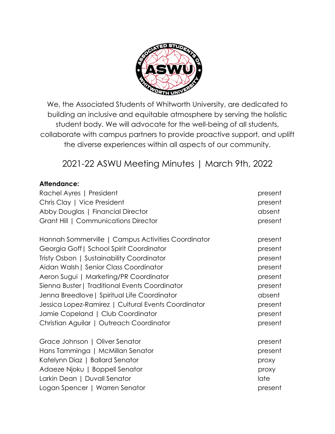

We, the Associated Students of Whitworth University, are dedicated to building an inclusive and equitable atmosphere by serving the holistic student body. We will advocate for the well-being of all students, collaborate with campus partners to provide proactive support, and uplift the diverse experiences within all aspects of our community.

2021-22 ASWU Meeting Minutes | March 9th, 2022

### **Attendance:**

| Rachel Ayres   President                            | present |
|-----------------------------------------------------|---------|
| Chris Clay   Vice President                         | present |
| Abby Douglas   Financial Director                   | absent  |
| Grant Hill   Communications Director                | present |
| Hannah Sommerville   Campus Activities Coordinator  | present |
| Georgia Goff   School Spirit Coordinator            | present |
| Tristy Osbon   Sustainability Coordinator           | present |
| Aidan Walsh   Senior Class Coordinator              | present |
| Aeron Sugui   Marketing/PR Coordinator              | present |
| Sienna Buster   Traditional Events Coordinator      | present |
| Jenna Breedlove   Spiritual Life Coordinator        | absent  |
| Jessica Lopez-Ramirez   Cultural Events Coordinator | present |
| Jamie Copeland   Club Coordinator                   | present |
| Christian Aguilar   Outreach Coordinator            | present |
| Grace Johnson   Oliver Senator                      | present |
| Hans Tamminga   McMillan Senator                    | present |
| Katelynn Diaz   Ballard Senator                     | proxy   |
| Adaeze Njoku   Boppell Senator                      | proxy   |
| Larkin Dean   Duvall Senator                        | late    |
| Logan Spencer   Warren Senator                      | present |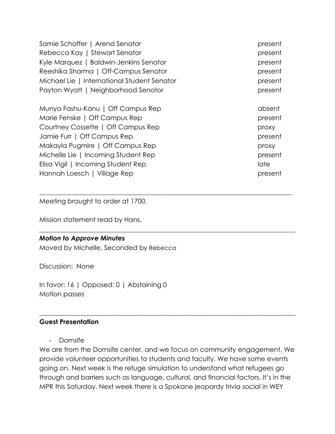| Samie Schaffer   Arend Senator              | present |
|---------------------------------------------|---------|
| Rebecca Kay   Stewart Senator               | present |
| Kyle Marquez   Baldwin-Jenkins Senator      | present |
| Reeshika Sharma   Off-Campus Senator        | present |
| Michael Lie   International Student Senator | present |
| Payton Wyatt   Neighborhood Senator         | present |
| Munya Fashu-Kanu   Off Campus Rep           | absent  |
| Marie Fenske   Off Campus Rep               | present |
| Courtney Cossette   Off Campus Rep          | proxy   |
| Jamie Furr   Off Campus Rep                 | present |
| Makayla Pugmire   Off Campus Rep            | proxy   |
| Michelle Lie   Incoming Student Rep         | present |
| Elisa Vigil   Incoming Student Rep          | late    |
| Hannah Loesch   Village Rep                 | present |

 $\_$  , and the set of the set of the set of the set of the set of the set of the set of the set of the set of the set of the set of the set of the set of the set of the set of the set of the set of the set of the set of th

\_\_\_\_\_\_\_\_\_\_\_\_\_\_\_\_\_\_\_\_\_\_\_\_\_\_\_\_\_\_\_\_\_\_\_\_\_\_\_\_\_\_\_\_\_\_\_\_\_\_\_\_\_\_\_\_\_\_\_\_\_\_\_\_\_\_\_\_\_\_\_\_\_\_\_\_\_\_

Meeting brought to order at 1700.

Mission statement read by Hans.

#### *Motion to Approve Minutes*

Moved by Michelle, Seconded by Rebecca

Discussion: None

In favor: 16 | Opposed: 0 | Abstaining 0 Motion passes

#### **Guest Presentation**

- Dornsife

We are from the Dornsife center, and we focus on community engagement. We provide volunteer opportunities to students and faculty. We have some events going on. Next week is the refuge simulation to understand what refugees go through and barriers such as language, cultural, and financial factors. It's in the MPR this Saturday. Next week there is a Spokane jeopardy trivia social in WEY

 $\_$  , and the set of the set of the set of the set of the set of the set of the set of the set of the set of the set of the set of the set of the set of the set of the set of the set of the set of the set of the set of th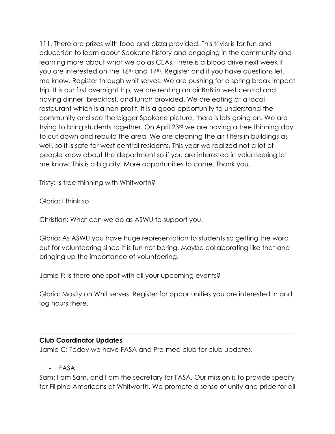111. There are prizes with food and pizza provided. This trivia is for fun and education to learn about Spokane history and engaging in the community and learning more about what we do as CEAs. There is a blood drive next week if you are interested on the 16<sup>th</sup> and 17<sup>th</sup>. Register and if you have questions let, me know. Register through whit serves. We are pushing for a spring break impact trip. It is our first overnight trip, we are renting an air BnB in west central and having dinner, breakfast, and lunch provided. We are eating at a local restaurant which is a non-profit. It is a good opportunity to understand the community and see the bigger Spokane picture, there is lots going on. We are trying to bring students together. On April 23rd we are having a tree thinning day to cut down and rebuild the area. We are cleaning the air filters in buildings as well, so it is safe for west central residents. This year we realized not a lot of people know about the department so if you are interested in volunteering let me know. This is a big city. More opportunities to come. Thank you.

Tristy: Is tree thinning with Whitworth?

Gloria: I think so

Christian: What can we do as ASWU to support you.

Gloria: As ASWU you have huge representation to students so getting the word out for volunteering since it is fun not boring. Maybe collaborating like that and bringing up the importance of volunteering.

Jamie F: Is there one spot with all your upcoming events?

Gloria: Mostly on Whit serves. Register for opportunities you are interested in and log hours there.

\_\_\_\_\_\_\_\_\_\_\_\_\_\_\_\_\_\_\_\_\_\_\_\_\_\_\_\_\_\_\_\_\_\_\_\_\_\_\_\_\_\_\_\_\_\_\_\_\_\_\_\_\_\_\_\_\_\_\_\_\_\_\_\_\_\_\_\_\_\_\_\_\_\_\_\_\_\_

#### **Club Coordinator Updates**

Jamie C: Today we have FASA and Pre-med club for club updates.

- FASA

Sam: I am Sam, and I am the secretary for FASA. Our mission is to provide specify for Filipino Americans at Whitworth. We promote a sense of unity and pride for all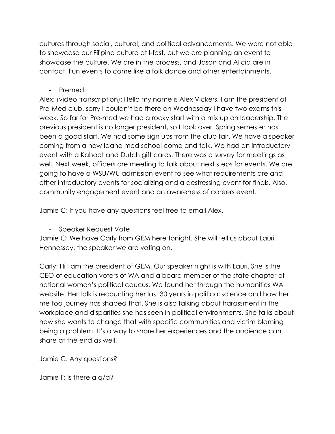cultures through social, cultural, and political advancements. We were not able to showcase our Filipino culture at I-fest, but we are planning an event to showcase the culture. We are in the process, and Jason and Alicia are in contact. Fun events to come like a folk dance and other entertainments.

- Premed:

Alex: (video transcription): Hello my name is Alex Vickers, I am the president of Pre-Med club, sorry I couldn't be there on Wednesday I have two exams this week. So far for Pre-med we had a rocky start with a mix up on leadership. The previous president is no longer president, so I took over. Spring semester has been a good start. We had some sign ups from the club fair. We have a speaker coming from a new Idaho med school come and talk. We had an introductory event with a Kahoot and Dutch gift cards. There was a survey for meetings as well. Next week, officers are meeting to talk about next steps for events. We are going to have a WSU/WU admission event to see what requirements are and other introductory events for socializing and a destressing event for finals. Also, community engagement event and an awareness of careers event.

Jamie C: If you have any questions feel free to email Alex.

- Speaker Request Vote

Jamie C: We have Carly from GEM here tonight. She will tell us about Lauri Hennessey, the speaker we are voting on.

Carly: Hi I am the president of GEM. Our speaker night is with Lauri. She is the CEO of education voters of WA and a board member of the state chapter of national women's political caucus. We found her through the humanities WA website. Her talk is recounting her last 30 years in political science and how her me too journey has shaped that. She is also talking about harassment in the workplace and disparities she has seen in political environments. She talks about how she wants to change that with specific communities and victim blaming being a problem. It's a way to share her experiences and the audience can share at the end as well.

Jamie C: Any questions?

Jamie F: Is there a q/a?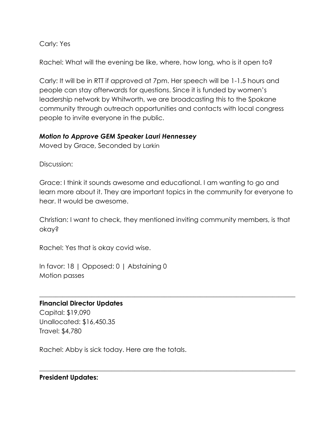Carly: Yes

Rachel: What will the evening be like, where, how long, who is it open to?

Carly: It will be in RTT if approved at 7pm. Her speech will be 1-1.5 hours and people can stay afterwards for questions. Since it is funded by women's leadership network by Whitworth, we are broadcasting this to the Spokane community through outreach opportunities and contacts with local congress people to invite everyone in the public.

#### *Motion to Approve GEM Speaker Lauri Hennessey*

Moved by Grace, Seconded by Larkin

Discussion:

Grace: I think it sounds awesome and educational. I am wanting to go and learn more about it. They are important topics in the community for everyone to hear. It would be awesome.

Christian: I want to check, they mentioned inviting community members, is that okay?

 $\_$  , and the set of the set of the set of the set of the set of the set of the set of the set of the set of the set of the set of the set of the set of the set of the set of the set of the set of the set of the set of th

 $\_$  , and the set of the set of the set of the set of the set of the set of the set of the set of the set of the set of the set of the set of the set of the set of the set of the set of the set of the set of the set of th

Rachel: Yes that is okay covid wise.

In favor: 18 | Opposed: 0 | Abstaining 0 Motion passes

#### **Financial Director Updates**

Capital: \$19,090 Unallocated: \$16,450.35 Travel: \$4,780

Rachel: Abby is sick today. Here are the totals.

#### **President Updates:**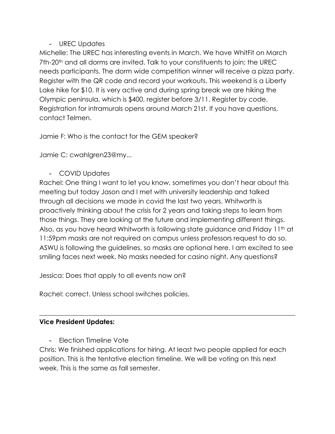# - UREC Updates

Michelle: The UREC has interesting events in March. We have WhitFit on March 7th-20th and all dorms are invited. Talk to your constituents to join; the UREC needs participants. The dorm wide competition winner will receive a pizza party. Register with the QR code and record your workouts. This weekend is a Liberty Lake hike for \$10. It is very active and during spring break we are hiking the Olympic peninsula, which is \$400, register before 3/11. Register by code. Registration for intramurals opens around March 21st. If you have questions, contact Telmen.

Jamie F: Who is the contact for the GEM speaker?

Jamie C: cwahlgren23@my...

- COVID Updates

Rachel: One thing I want to let you know, sometimes you don't hear about this meeting but today Jason and I met with university leadership and talked through all decisions we made in covid the last two years. Whitworth is proactively thinking about the crisis for 2 years and taking steps to learn from those things. They are looking at the future and implementing different things. Also, as you have heard Whitworth is following state guidance and Friday 11<sup>th</sup> at 11:59pm masks are not required on campus unless professors request to do so. ASWU is following the guidelines, so masks are optional here. I am excited to see smiling faces next week. No masks needed for casino night. Any questions?

Jessica: Does that apply to all events now on?

Rachel: correct. Unless school switches policies.

# **Vice President Updates:**

Election Timeline Vote

Chris: We finished applications for hiring. At least two people applied for each position. This is the tentative election timeline. We will be voting on this next week. This is the same as fall semester.

 $\_$  , and the set of the set of the set of the set of the set of the set of the set of the set of the set of the set of the set of the set of the set of the set of the set of the set of the set of the set of the set of th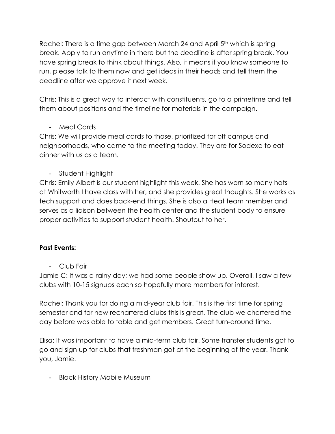Rachel: There is a time gap between March 24 and April 5<sup>th</sup> which is spring break. Apply to run anytime in there but the deadline is after spring break. You have spring break to think about things. Also, it means if you know someone to run, please talk to them now and get ideas in their heads and tell them the deadline after we approve it next week.

Chris: This is a great way to interact with constituents, go to a primetime and tell them about positions and the timeline for materials in the campaign.

- Meal Cards

Chris: We will provide meal cards to those, prioritized for off campus and neighborhoods, who came to the meeting today. They are for Sodexo to eat dinner with us as a team.

- Student Highlight

Chris: Emily Albert is our student highlight this week. She has worn so many hats at Whitworth I have class with her, and she provides great thoughts. She works as tech support and does back-end things. She is also a Heat team member and serves as a liaison between the health center and the student body to ensure proper activities to support student health. Shoutout to her.

 $\_$  , and the set of the set of the set of the set of the set of the set of the set of the set of the set of the set of the set of the set of the set of the set of the set of the set of the set of the set of the set of th

## **Past Events:**

- Club Fair

Jamie C: It was a rainy day; we had some people show up. Overall, I saw a few clubs with 10-15 signups each so hopefully more members for interest.

Rachel: Thank you for doing a mid-year club fair. This is the first time for spring semester and for new rechartered clubs this is great. The club we chartered the day before was able to table and get members. Great turn-around time.

Elisa: It was important to have a mid-term club fair. Some transfer students got to go and sign up for clubs that freshman got at the beginning of the year. Thank you, Jamie.

- Black History Mobile Museum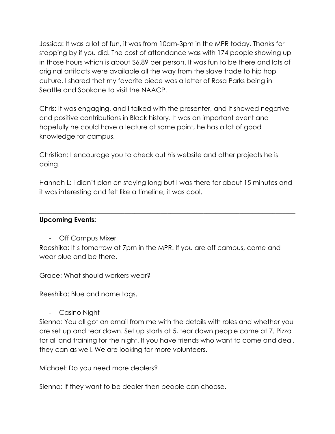Jessica: It was a lot of fun, it was from 10am-3pm in the MPR today. Thanks for stopping by if you did. The cost of attendance was with 174 people showing up in those hours which is about \$6.89 per person. It was fun to be there and lots of original artifacts were available all the way from the slave trade to hip hop culture. I shared that my favorite piece was a letter of Rosa Parks being in Seattle and Spokane to visit the NAACP.

Chris: It was engaging, and I talked with the presenter, and it showed negative and positive contributions in Black history. It was an important event and hopefully he could have a lecture at some point, he has a lot of good knowledge for campus.

Christian: I encourage you to check out his website and other projects he is doing.

Hannah L: I didn't plan on staying long but I was there for about 15 minutes and it was interesting and felt like a timeline, it was cool.

 $\_$  , and the set of the set of the set of the set of the set of the set of the set of the set of the set of the set of the set of the set of the set of the set of the set of the set of the set of the set of the set of th

### **Upcoming Events:**

- Off Campus Mixer

Reeshika: It's tomorrow at 7pm in the MPR. If you are off campus, come and wear blue and be there.

Grace: What should workers wear?

Reeshika: Blue and name tags.

- Casino Night

Sienna: You all got an email from me with the details with roles and whether you are set up and tear down. Set up starts at 5, tear down people come at 7. Pizza for all and training for the night. If you have friends who want to come and deal, they can as well. We are looking for more volunteers.

Michael: Do you need more dealers?

Sienna: If they want to be dealer then people can choose.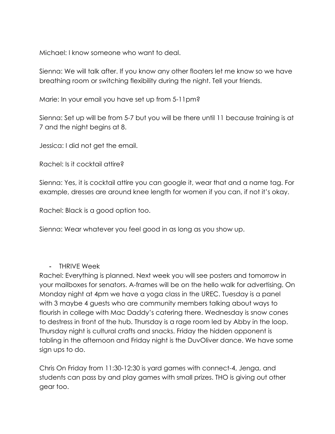Michael: I know someone who want to deal.

Sienna: We will talk after. If you know any other floaters let me know so we have breathing room or switching flexibility during the night. Tell your friends.

Marie: In your email you have set up from 5-11pm?

Sienna: Set up will be from 5-7 but you will be there until 11 because training is at 7 and the night begins at 8.

Jessica: I did not get the email.

Rachel: Is it cocktail attire?

Sienna: Yes, it is cocktail attire you can google it, wear that and a name tag. For example, dresses are around knee length for women if you can, if not it's okay.

Rachel: Black is a good option too.

Sienna: Wear whatever you feel good in as long as you show up.

## - THRIVE Week

Rachel: Everything is planned. Next week you will see posters and tomorrow in your mailboxes for senators. A-frames will be on the hello walk for advertising. On Monday night at 4pm we have a yoga class in the UREC. Tuesday is a panel with 3 maybe 4 guests who are community members talking about ways to flourish in college with Mac Daddy's catering there. Wednesday is snow cones to destress in front of the hub. Thursday is a rage room led by Abby in the loop. Thursday night is cultural crafts and snacks. Friday the hidden opponent is tabling in the afternoon and Friday night is the DuvOliver dance. We have some sign ups to do.

Chris On Friday from 11:30-12:30 is yard games with connect-4, Jenga, and students can pass by and play games with small prizes. THO is giving out other gear too.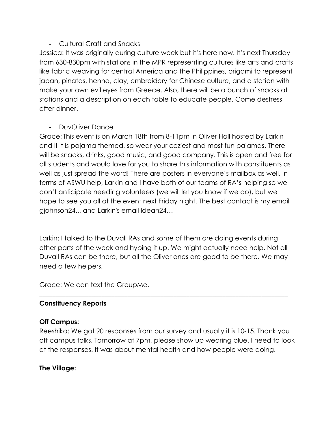## - Cultural Craft and Snacks

Jessica: It was originally during culture week but it's here now. It's next Thursday from 630-830pm with stations in the MPR representing cultures like arts and crafts like fabric weaving for central America and the Philippines, origami to represent japan, pinatas, henna, clay, embroidery for Chinese culture, and a station with make your own evil eyes from Greece. Also, there will be a bunch of snacks at stations and a description on each table to educate people. Come destress after dinner.

## - DuvOliver Dance

Grace: This event is on March 18th from 8-11pm in Oliver Hall hosted by Larkin and I! It is pajama themed, so wear your coziest and most fun pajamas. There will be snacks, drinks, good music, and good company. This is open and free for all students and would love for you to share this information with constituents as well as just spread the word! There are posters in everyone's mailbox as well. In terms of ASWU help, Larkin and I have both of our teams of RA's helping so we don't anticipate needing volunteers (we will let you know if we do), but we hope to see you all at the event next Friday night. The best contact is my email gjohnson24... and Larkin's email ldean24…

Larkin: I talked to the Duvall RAs and some of them are doing events during other parts of the week and hyping it up. We might actually need help. Not all Duvall RAs can be there, but all the Oliver ones are good to be there. We may need a few helpers.

\_\_\_\_\_\_\_\_\_\_\_\_\_\_\_\_\_\_\_\_\_\_\_\_\_\_\_\_\_\_\_\_\_\_\_\_\_\_\_\_\_\_\_\_\_\_\_\_\_\_\_\_\_\_\_\_\_\_\_\_\_\_\_\_\_\_\_\_\_\_\_\_\_\_\_\_

Grace: We can text the GroupMe.

## **Constituency Reports**

#### **Off Campus:**

Reeshika: We got 90 responses from our survey and usually it is 10-15. Thank you off campus folks. Tomorrow at 7pm, please show up wearing blue. I need to look at the responses. It was about mental health and how people were doing.

## **The Village:**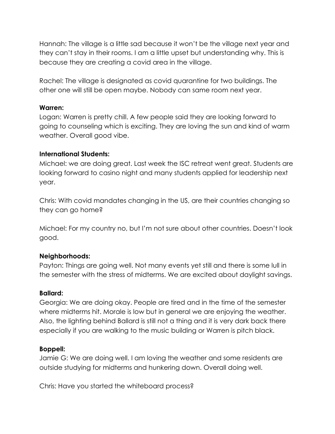Hannah: The village is a little sad because it won't be the village next year and they can't stay in their rooms. I am a little upset but understanding why. This is because they are creating a covid area in the village.

Rachel: The village is designated as covid quarantine for two buildings. The other one will still be open maybe. Nobody can same room next year.

#### **Warren:**

Logan: Warren is pretty chill. A few people said they are looking forward to going to counseling which is exciting. They are loving the sun and kind of warm weather. Overall good vibe.

## **International Students:**

Michael: we are doing great. Last week the ISC retreat went great. Students are looking forward to casino night and many students applied for leadership next year.

Chris: With covid mandates changing in the US, are their countries changing so they can go home?

Michael: For my country no, but I'm not sure about other countries. Doesn't look good.

## **Neighborhoods:**

Payton: Things are going well. Not many events yet still and there is some lull in the semester with the stress of midterms. We are excited about daylight savings.

## **Ballard:**

Georgia: We are doing okay. People are tired and in the time of the semester where midterms hit. Morale is low but in general we are enjoying the weather. Also, the lighting behind Ballard is still not a thing and it is very dark back there especially if you are walking to the music building or Warren is pitch black.

## **Boppell:**

Jamie G: We are doing well. I am loving the weather and some residents are outside studying for midterms and hunkering down. Overall doing well.

Chris: Have you started the whiteboard process?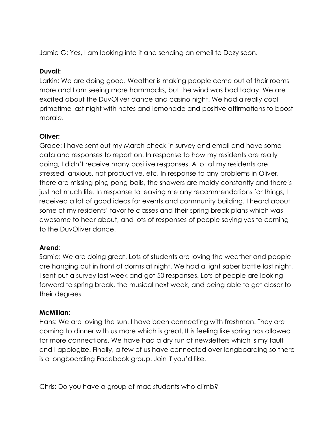Jamie G: Yes, I am looking into it and sending an email to Dezy soon.

### **Duvall:**

Larkin: We are doing good. Weather is making people come out of their rooms more and I am seeing more hammocks, but the wind was bad today. We are excited about the DuvOliver dance and casino night. We had a really cool primetime last night with notes and lemonade and positive affirmations to boost morale.

# **Oliver:**

Grace: I have sent out my March check in survey and email and have some data and responses to report on. In response to how my residents are really doing, I didn't receive many positive responses. A lot of my residents are stressed, anxious, not productive, etc. In response to any problems in Oliver, there are missing ping pong balls, the showers are moldy constantly and there's just not much life. In response to leaving me any recommendations for things, I received a lot of good ideas for events and community building. I heard about some of my residents' favorite classes and their spring break plans which was awesome to hear about, and lots of responses of people saying yes to coming to the DuvOliver dance.

## **Arend**:

Samie: We are doing great. Lots of students are loving the weather and people are hanging out in front of dorms at night. We had a light saber battle last night. I sent out a survey last week and got 50 responses. Lots of people are looking forward to spring break, the musical next week, and being able to get closer to their degrees.

## **McMillan:**

Hans: We are loving the sun. I have been connecting with freshmen. They are coming to dinner with us more which is great. It is feeling like spring has allowed for more connections. We have had a dry run of newsletters which is my fault and I apologize. Finally, a few of us have connected over longboarding so there is a longboarding Facebook group. Join if you'd like.

Chris: Do you have a group of mac students who climb?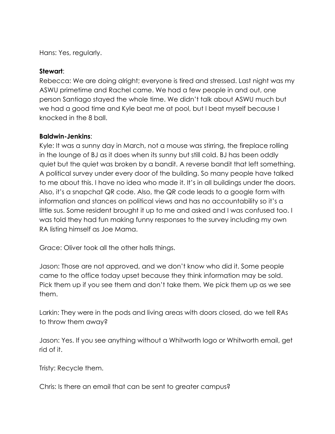Hans: Yes, regularly.

#### **Stewart**:

Rebecca: We are doing alright; everyone is tired and stressed. Last night was my ASWU primetime and Rachel came. We had a few people in and out, one person Santiago stayed the whole time. We didn't talk about ASWU much but we had a good time and Kyle beat me at pool, but I beat myself because I knocked in the 8 ball.

#### **Baldwin-Jenkins**:

Kyle: It was a sunny day in March, not a mouse was stirring, the fireplace rolling in the lounge of BJ as it does when its sunny but still cold. BJ has been oddly quiet but the quiet was broken by a bandit. A reverse bandit that left something. A political survey under every door of the building. So many people have talked to me about this. I have no idea who made it. It's in all buildings under the doors. Also, it's a snapchat QR code. Also, the QR code leads to a google form with information and stances on political views and has no accountability so it's a little sus. Some resident brought it up to me and asked and I was confused too. I was told they had fun making funny responses to the survey including my own RA listing himself as Joe Mama.

Grace: Oliver took all the other halls things.

Jason: Those are not approved, and we don't know who did it. Some people came to the office today upset because they think information may be sold. Pick them up if you see them and don't take them. We pick them up as we see them.

Larkin: They were in the pods and living areas with doors closed, do we tell RAs to throw them away?

Jason: Yes. If you see anything without a Whitworth logo or Whitworth email, get rid of it.

Tristy: Recycle them.

Chris: Is there an email that can be sent to greater campus?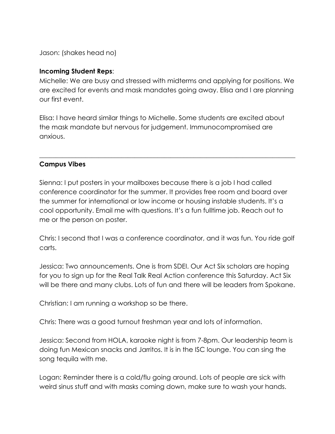Jason: (shakes head no)

### **Incoming Student Reps**:

Michelle: We are busy and stressed with midterms and applying for positions. We are excited for events and mask mandates going away. Elisa and I are planning our first event.

Elisa: I have heard similar things to Michelle. Some students are excited about the mask mandate but nervous for judgement. Immunocompromised are anxious.

\_\_\_\_\_\_\_\_\_\_\_\_\_\_\_\_\_\_\_\_\_\_\_\_\_\_\_\_\_\_\_\_\_\_\_\_\_\_\_\_\_\_\_\_\_\_\_\_\_\_\_\_\_\_\_\_\_\_\_\_\_\_\_\_\_\_\_\_\_\_\_\_\_\_\_\_\_\_

## **Campus Vibes**

Sienna: I put posters in your mailboxes because there is a job I had called conference coordinator for the summer. It provides free room and board over the summer for international or low income or housing instable students. It's a cool opportunity. Email me with questions. It's a fun fulltime job. Reach out to me or the person on poster.

Chris: I second that I was a conference coordinator, and it was fun. You ride golf carts.

Jessica: Two announcements. One is from SDEI. Our Act Six scholars are hoping for you to sign up for the Real Talk Real Action conference this Saturday. Act Six will be there and many clubs. Lots of fun and there will be leaders from Spokane.

Christian: I am running a workshop so be there.

Chris: There was a good turnout freshman year and lots of information.

Jessica: Second from HOLA, karaoke night is from 7-8pm. Our leadership team is doing fun Mexican snacks and Jarritos. It is in the ISC lounge. You can sing the song tequila with me.

Logan: Reminder there is a cold/flu going around. Lots of people are sick with weird sinus stuff and with masks coming down, make sure to wash your hands.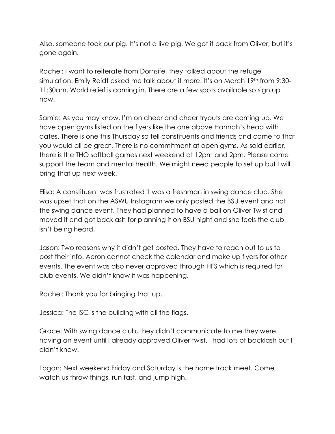Also, someone took our pig. It's not a live pig. We got it back from Oliver, but it's gone again.

Rachel: I want to reiterate from Dornsife, they talked about the refuge simulation. Emily Reidt asked me talk about it more. It's on March 19<sup>th</sup> from 9:30-11:30am. World relief is coming in. There are a few spots available so sign up now.

Samie: As you may know, I'm on cheer and cheer tryouts are coming up. We have open gyms listed on the flyers like the one above Hannah's head with dates. There is one this Thursday so tell constituents and friends and come to that you would all be great. There is no commitment at open gyms. As said earlier, there is the THO softball games next weekend at 12pm and 2pm. Please come support the team and mental health. We might need people to set up but I will bring that up next week.

Elisa: A constituent was frustrated it was a freshman in swing dance club. She was upset that on the ASWU Instagram we only posted the BSU event and not the swing dance event. They had planned to have a ball on Oliver Twist and moved it and got backlash for planning it on BSU night and she feels the club isn't being heard.

Jason: Two reasons why it didn't get posted. They have to reach out to us to post their info. Aeron cannot check the calendar and make up flyers for other events. The event was also never approved through HFS which is required for club events. We didn't know it was happening.

Rachel: Thank you for bringing that up.

Jessica: The ISC is the building with all the flags.

Grace: With swing dance club, they didn't communicate to me they were having an event until I already approved Oliver twist. I had lots of backlash but I didn't know.

Logan: Next weekend Friday and Saturday is the home track meet. Come watch us throw things, run fast, and jump high.